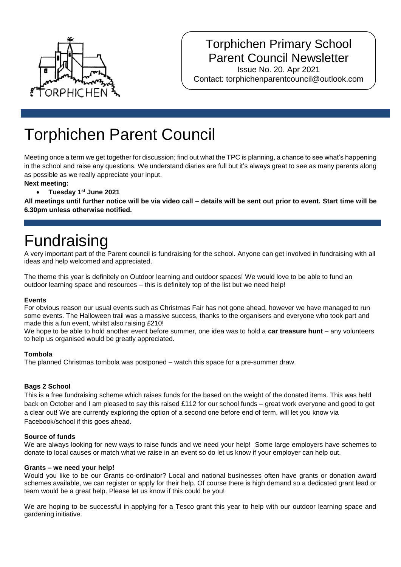

### Torphichen Primary School Parent Council Newsletter

Issue No. 20. Apr 2021 Contact: torphichenparentcouncil@outlook.com

# Torphichen Parent Council

Meeting once a term we get together for discussion; find out what the TPC is planning, a chance to see what's happening in the school and raise any questions. We understand diaries are full but it's always great to see as many parents along as possible as we really appreciate your input.

#### **Next meeting:**

**Tuesday 1st June 2021**

**All meetings until further notice will be via video call – details will be sent out prior to event. Start time will be 6.30pm unless otherwise notified.**

### Fundraising

A very important part of the Parent council is fundraising for the school. Anyone can get involved in fundraising with all ideas and help welcomed and appreciated.

The theme this year is definitely on Outdoor learning and outdoor spaces! We would love to be able to fund an outdoor learning space and resources – this is definitely top of the list but we need help!

#### **Events**

For obvious reason our usual events such as Christmas Fair has not gone ahead, however we have managed to run some events. The Halloween trail was a massive success, thanks to the organisers and everyone who took part and made this a fun event, whilst also raising £210!

We hope to be able to hold another event before summer, one idea was to hold a **car treasure hunt** – any volunteers to help us organised would be greatly appreciated.

#### **Tombola**

The planned Christmas tombola was postponed – watch this space for a pre-summer draw.

#### **Bags 2 School**

This is a free fundraising scheme which raises funds for the based on the weight of the donated items. This was held back on October and I am pleased to say this raised £112 for our school funds – great work everyone and good to get a clear out! We are currently exploring the option of a second one before end of term, will let you know via Facebook/school if this goes ahead.

#### **Source of funds**

We are always looking for new ways to raise funds and we need your help! Some large employers have schemes to donate to local causes or match what we raise in an event so do let us know if your employer can help out.

#### **Grants – we need your help!**

Would you like to be our Grants co-ordinator? Local and national businesses often have grants or donation award schemes available, we can register or apply for their help. Of course there is high demand so a dedicated grant lead or team would be a great help. Please let us know if this could be you!

We are hoping to be successful in applying for a Tesco grant this year to help with our outdoor learning space and gardening initiative.